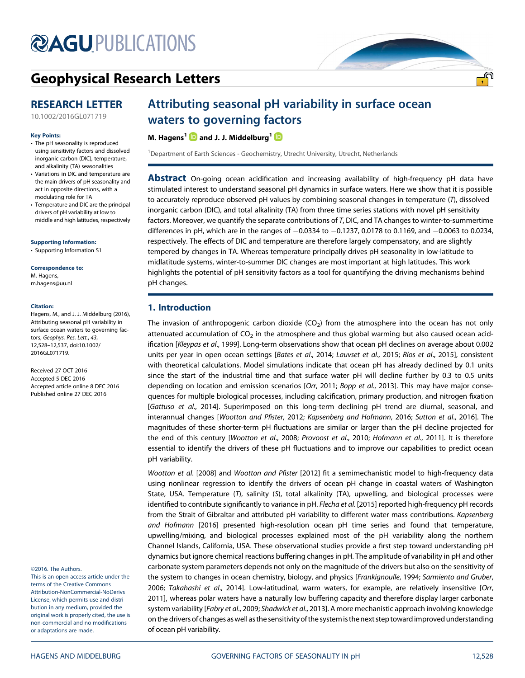## **@AGU[PUBLICATIONS](http://publications.agu.org/journals/)**

## [Geophysical Research Letters](http://onlinelibrary.wiley.com/journal/10.1002/(ISSN)1944-8007)

### RESEARCH LETTER

[10.1002/2016GL071719](http://dx.doi.org/10.1002/2016GL071719)

#### Key Points:

- The pH seasonality is reproduced using sensitivity factors and dissolved inorganic carbon (DIC), temperature, and alkalinity (TA) seasonalities
- Variations in DIC and temperature are the main drivers of pH seasonality and act in opposite directions, with a modulating role for TA
- Temperature and DIC are the principal drivers of pH variability at low to middle and high latitudes, respectively

[Supporting Information:](http://dx.doi.org/10.1002/2016GL071719) [•](http://dx.doi.org/10.1002/2016GL071719) [Supporting Information S1](http://dx.doi.org/10.1002/2016GL071719)

Correspondence to: M. Hagens, [m.hagens@uu.nl](mailto:m.hagens@uu.nl)

#### Citation:

Hagens, M., and J. J. Middelburg (2016), Attributing seasonal pH variability in surface ocean waters to governing factors, Geophys. Res. Lett., 43, 12,528–12,537, doi:10.1002/ 2016GL071719.

Received 27 OCT 2016 Accepted 5 DEC 2016 Accepted article online 8 DEC 2016 Published online 27 DEC 2016

©2016. The Authors.

This is an open access article under the terms of the Creative Commons Attribution-NonCommercial-NoDerivs License, which permits use and distribution in any medium, provided the original work is properly cited, the use is non-commercial and no modifications or adaptations are made.

# Attributing seasonal pH variability in surface ocean

waters [to](http://orcid.org/0000-0003-3980-1043) governing f[act](http://orcid.org/0000-0003-3601-9072)ors<br>M. Hagens<sup>1</sup> and J. J. Middelburg<sup>1</sup> **D** 

<sup>1</sup>Department of Earth Sciences - Geochemistry, Utrecht University, Utrecht, Netherlands

**Abstract** On-going ocean acidification and increasing availability of high-frequency pH data have stimulated interest to understand seasonal pH dynamics in surface waters. Here we show that it is possible to accurately reproduce observed pH values by combining seasonal changes in temperature (T), dissolved inorganic carbon (DIC), and total alkalinity (TA) from three time series stations with novel pH sensitivity factors. Moreover, we quantify the separate contributions of T, DIC, and TA changes to winter-to-summertime differences in pH, which are in the ranges of  $-0.0334$  to  $-0.1237$ , 0.0178 to 0.1169, and  $-0.0063$  to 0.0234, respectively. The effects of DIC and temperature are therefore largely compensatory, and are slightly tempered by changes in TA. Whereas temperature principally drives pH seasonality in low-latitude to midlatitude systems, winter-to-summer DIC changes are most important at high latitudes. This work highlights the potential of pH sensitivity factors as a tool for quantifying the driving mechanisms behind pH changes.

#### 1. Introduction

The invasion of anthropogenic carbon dioxide  $(CO<sub>2</sub>)$  from the atmosphere into the ocean has not only attenuated accumulation of  $CO<sub>2</sub>$  in the atmosphere and thus global warming but also caused ocean acidification [Kleypas et al., 1999]. Long-term observations show that ocean pH declines on average about 0.002 units per year in open ocean settings [Bates et al., 2014; Lauvset et al., 2015; Ríos et al., 2015], consistent with theoretical calculations. Model simulations indicate that ocean pH has already declined by 0.1 units since the start of the industrial time and that surface water pH will decline further by 0.3 to 0.5 units depending on location and emission scenarios [Orr, 2011; Bopp et al., 2013]. This may have major consequences for multiple biological processes, including calcification, primary production, and nitrogen fixation [Gattuso et al., 2014]. Superimposed on this long-term declining pH trend are diurnal, seasonal, and interannual changes [Wootton and Pfister, 2012; Kapsenberg and Hofmann, 2016; Sutton et al., 2016]. The magnitudes of these shorter-term pH fluctuations are similar or larger than the pH decline projected for the end of this century [Wootton et al., 2008; Provoost et al., 2010; Hofmann et al., 2011]. It is therefore essential to identify the drivers of these pH fluctuations and to improve our capabilities to predict ocean pH variability.

Wootton et al. [2008] and Wootton and Pfister [2012] fit a semimechanistic model to high-frequency data using nonlinear regression to identify the drivers of ocean pH change in coastal waters of Washington State, USA. Temperature (T), salinity (S), total alkalinity (TA), upwelling, and biological processes were identified to contribute significantly to variance in pH. Flecha et al. [2015] reported high-frequency pH records from the Strait of Gibraltar and attributed pH variability to different water mass contributions. Kapsenberg and Hofmann [2016] presented high-resolution ocean pH time series and found that temperature, upwelling/mixing, and biological processes explained most of the pH variability along the northern Channel Islands, California, USA. These observational studies provide a first step toward understanding pH dynamics but ignore chemical reactions buffering changes in pH. The amplitude of variability in pH and other carbonate system parameters depends not only on the magnitude of the drivers but also on the sensitivity of the system to changes in ocean chemistry, biology, and physics [Frankignoulle, 1994; Sarmiento and Gruber, 2006; Takahashi et al., 2014]. Low-latitudinal, warm waters, for example, are relatively insensitive [Orr, 2011], whereas polar waters have a naturally low buffering capacity and therefore display larger carbonate system variability [Fabry et al., 2009; Shadwick et al., 2013]. A more mechanistic approach involving knowledge on the drivers of changes aswell as the sensitivity of the system is the next step toward improved understanding of ocean pH variability.

<u>.എ</u>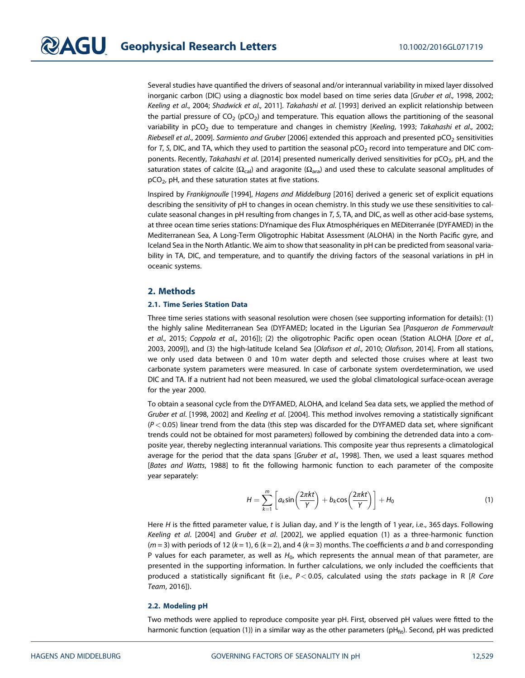Several studies have quantified the drivers of seasonal and/or interannual variability in mixed layer dissolved inorganic carbon (DIC) using a diagnostic box model based on time series data [Gruber et al., 1998, 2002; Keeling et al., 2004; Shadwick et al., 2011]. Takahashi et al. [1993] derived an explicit relationship between the partial pressure of  $CO<sub>2</sub>$  (pCO<sub>2</sub>) and temperature. This equation allows the partitioning of the seasonal variability in pCO<sub>2</sub> due to temperature and changes in chemistry [Keeling, 1993; Takahashi et al., 2002; Riebesell et al., 2009]. Sarmiento and Gruber [2006] extended this approach and presented  $pCO<sub>2</sub>$  sensitivities for T, S, DIC, and TA, which they used to partition the seasonal  $pCO<sub>2</sub>$  record into temperature and DIC components. Recently, Takahashi et al. [2014] presented numerically derived sensitivities for  $pCO<sub>2</sub>$ , pH, and the saturation states of calcite ( $Ω<sub>cal</sub>$ ) and aragonite ( $Ω<sub>ara</sub>$ ) and used these to calculate seasonal amplitudes of  $pCO<sub>2</sub>$ , pH, and these saturation states at five stations.

Inspired by Frankignoulle [1994], Hagens and Middelburg [2016] derived a generic set of explicit equations describing the sensitivity of pH to changes in ocean chemistry. In this study we use these sensitivities to calculate seasonal changes in pH resulting from changes in T, S, TA, and DIC, as well as other acid-base systems, at three ocean time series stations: DYnamique des Flux Atmosphériques en MEDiterranée (DYFAMED) in the Mediterranean Sea, A Long-Term Oligotrophic Habitat Assessment (ALOHA) in the North Pacific gyre, and Iceland Sea in the North Atlantic. We aim to show that seasonality in pH can be predicted from seasonal variability in TA, DIC, and temperature, and to quantify the driving factors of the seasonal variations in pH in oceanic systems.

#### 2. Methods

#### 2.1. Time Series Station Data

Three time series stations with seasonal resolution were chosen (see supporting information for details): (1) the highly saline Mediterranean Sea (DYFAMED; located in the Ligurian Sea [Pasqueron de Fommervault et al., 2015; Coppola et al., 2016]); (2) the oligotrophic Pacific open ocean (Station ALOHA [Dore et al., 2003, 2009]), and (3) the high-latitude Iceland Sea [Olafsson et al., 2010; Olafsson, 2014]. From all stations, we only used data between 0 and 10 m water depth and selected those cruises where at least two carbonate system parameters were measured. In case of carbonate system overdetermination, we used DIC and TA. If a nutrient had not been measured, we used the global climatological surface-ocean average for the year 2000.

To obtain a seasonal cycle from the DYFAMED, ALOHA, and Iceland Sea data sets, we applied the method of Gruber et al. [1998, 2002] and Keeling et al. [2004]. This method involves removing a statistically significant  $(P < 0.05)$  linear trend from the data (this step was discarded for the DYFAMED data set, where significant trends could not be obtained for most parameters) followed by combining the detrended data into a composite year, thereby neglecting interannual variations. This composite year thus represents a climatological average for the period that the data spans [Gruber et al., 1998]. Then, we used a least squares method [Bates and Watts, 1988] to fit the following harmonic function to each parameter of the composite year separately:

$$
H = \sum_{k=1}^{m} \left[ a_k \sin\left(\frac{2\pi kt}{\gamma}\right) + b_k \cos\left(\frac{2\pi kt}{\gamma}\right) \right] + H_0 \tag{1}
$$

Here H is the fitted parameter value, t is Julian day, and Y is the length of 1 year, i.e., 365 days. Following Keeling et al. [2004] and Gruber et al. [2002], we applied equation (1) as a three-harmonic function  $(m = 3)$  with periods of 12  $(k = 1)$ , 6  $(k = 2)$ , and 4  $(k = 3)$  months. The coefficients a and b and corresponding P values for each parameter, as well as  $H_0$ , which represents the annual mean of that parameter, are presented in the supporting information. In further calculations, we only included the coefficients that produced a statistically significant fit (i.e.,  $P < 0.05$ , calculated using the stats package in R [R Core Team, 2016]).

#### 2.2. Modeling pH

Two methods were applied to reproduce composite year pH. First, observed pH values were fitted to the harmonic function (equation (1)) in a similar way as the other parameters ( $pH_{fit}$ ). Second,  $pH$  was predicted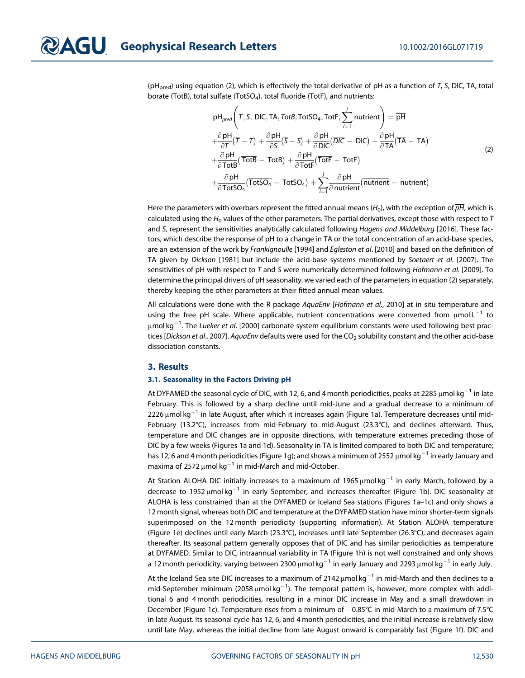( $pH<sub>pred</sub>$ ) using equation (2), which is effectively the total derivative of  $pH$  as a function of T, S, DIC, TA, total borate (TotB), total sulfate (TotSO<sub>4</sub>), total fluoride (TotF), and nutrients:

$$
pH_{pred}\left(T, S, DIC, TA, TotB, TotSO4, TotF, \sum_{i=1}^{j} nutrient\right) = \overline{pH}
$$
  
\n
$$
+\frac{\partial pH}{\partial T}(\overline{T} - T) + \frac{\partial pH}{\partial S}(\overline{S} - S) + \frac{\partial pH}{\partial DIC}(\overline{DIC} - DIC) + \frac{\partial pH}{\partial TA}(\overline{TA} - TA)
$$
  
\n
$$
+\frac{\partial pH}{\partial TotB}(\overline{TotB} - TotB) + \frac{\partial pH}{\partial TotF}(\overline{TotF} - TotF)
$$
  
\n
$$
+\frac{\partial pH}{\partial TotSO4}(\overline{TotSO4} - TotSO4) + \sum_{i=1}^{j} \frac{\partial pH}{\partial nutrient}(\overline{nutrient} - nutrient)
$$
 (2)

Here the parameters with overbars represent the fitted annual means ( $H_0$ ), with the exception of  $\overline{pH}$ , which is calculated using the  $H_0$  values of the other parameters. The partial derivatives, except those with respect to T and S, represent the sensitivities analytically calculated following Hagens and Middelburg [2016]. These factors, which describe the response of pH to a change in TA or the total concentration of an acid-base species, are an extension of the work by Frankignoulle [1994] and Egleston et al. [2010] and based on the definition of TA given by Dickson [1981] but include the acid-base systems mentioned by Soetaert et al. [2007]. The sensitivities of pH with respect to T and S were numerically determined following Hofmann et al. [2009]. To determine the principal drivers of pH seasonality, we varied each of the parameters in equation (2) separately, thereby keeping the other parameters at their fitted annual mean values.

All calculations were done with the R package AquaEnv [Hofmann et al., 2010] at in situ temperature and using the free pH scale. Where applicable, nutrient concentrations were converted from  $\mu$ mol L<sup>-1</sup> to  $\mu$ mol $\,$ kg $^{-1}.$  The *Lueker et al.* [2000] carbonate system equilibrium constants were used following best practices [Dickson et al., 2007]. AquaEnv defaults were used for the CO<sub>2</sub> solubility constant and the other acid-base dissociation constants.

#### 3. Results

#### 3.1. Seasonality in the Factors Driving pH

At DYFAMED the seasonal cycle of DIC, with 12, 6, and 4 month periodicities, peaks at 2285  $\mu$ mol kg<sup>-1</sup> in late February. This is followed by a sharp decline until mid-June and a gradual decrease to a minimum of 2226  $\mu$ mol kg<sup>-1</sup> in late August, after which it increases again (Figure 1a). Temperature decreases until mid-February (13.2°C), increases from mid-February to mid-August (23.3°C), and declines afterward. Thus, temperature and DIC changes are in opposite directions, with temperature extremes preceding those of DIC by a few weeks (Figures 1a and 1d). Seasonality in TA is limited compared to both DIC and temperature; has 12, 6 and 4 month periodicities (Figure 1g); and shows a minimum of 2552  $\mu$  mol kg<sup>-1</sup> in early January and maxima of 2572  $\mu$ mol kg<sup>-1</sup> in mid-March and mid-October.

At Station ALOHA DIC initially increases to a maximum of 1965  $\mu$ mol kg<sup>-1</sup> in early March, followed by a decrease to 1952  $\mu$ mol kg<sup>-1</sup> in early September, and increases thereafter (Figure 1b). DIC seasonality at ALOHA is less constrained than at the DYFAMED or Iceland Sea stations (Figures 1a–1c) and only shows a 12 month signal, whereas both DIC and temperature at the DYFAMED station have minor shorter-term signals superimposed on the 12 month periodicity (supporting information). At Station ALOHA temperature (Figure 1e) declines until early March (23.3°C), increases until late September (26.3°C), and decreases again thereafter. Its seasonal pattern generally opposes that of DIC and has similar periodicities as temperature at DYFAMED. Similar to DIC, intraannual variability in TA (Figure 1h) is not well constrained and only shows a 12 month periodicity, varying between 2300  $\mu$ mol kg<sup>-1</sup> in early January and 2293  $\mu$ mol kg<sup>-1</sup> in early July.

At the Iceland Sea site DIC increases to a maximum of 2142  $\mu$ mol kg<sup>-1</sup> in mid-March and then declines to a mid-September minimum (2058  $\mu$ mol $\,$ kg $^{-1}$ ). The temporal pattern is, however, more complex with additional 6 and 4 month periodicities, resulting in a minor DIC increase in May and a small drawdown in December (Figure 1c). Temperature rises from a minimum of −0.85°C in mid-March to a maximum of 7.5°C in late August. Its seasonal cycle has 12, 6, and 4 month periodicities, and the initial increase is relatively slow until late May, whereas the initial decline from late August onward is comparably fast (Figure 1f). DIC and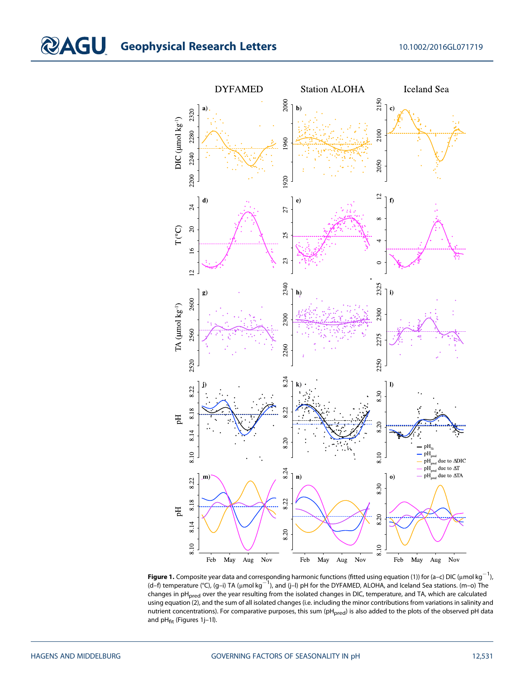

**Figure 1.** Composite year data and corresponding harmonic functions (fitted using equation (1)) for (a–c) DIC (µmol kg $^{-1}$ ), (d–f) temperature (°C), (g–i) TA (μmol kg<sup>-1</sup>), and (j–l) pH for the DYFAMED, ALOHA, and Iceland Sea stations. (m–o) The changes in pH<sub>pred</sub> over the year resulting from the isolated changes in DIC, temperature, and TA, which are calculated using equation (2), and the sum of all isolated changes (i.e. including the minor contributions from variations in salinity and nutrient concentrations). For comparative purposes, this sum (pH<sub>pred</sub>) is also added to the plots of the observed pH data and  $pH_{\text{fit}}$  (Figures 1j-1l).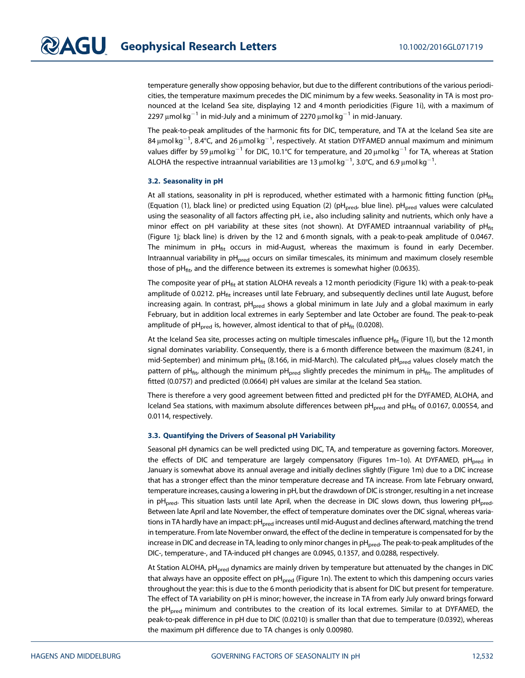temperature generally show opposing behavior, but due to the different contributions of the various periodicities, the temperature maximum precedes the DIC minimum by a few weeks. Seasonality in TA is most pronounced at the Iceland Sea site, displaying 12 and 4 month periodicities (Figure 1i), with a maximum of 2297  $\mu$ mol kg<sup>-1</sup> in mid-July and a minimum of 2270  $\mu$ mol kg<sup>-1</sup> in mid-January.

The peak-to-peak amplitudes of the harmonic fits for DIC, temperature, and TA at the Iceland Sea site are 84 μmol kg $^{-1}$ , 8.4°C, and 26 μmol kg $^{-1}$ , respectively. At station DYFAMED annual maximum and minimum values differ by 59  $\mu$ mol kg<sup>-1</sup> for DIC, 10.1°C for temperature, and 20  $\mu$ mol kg<sup>-1</sup> for TA, whereas at Station ALOHA the respective intraannual variabilities are 13  $\mu$ mol kg $^{-1}$ , 3.0°C, and 6.9  $\mu$ mol kg $^{-1}$ .

#### 3.2. Seasonality in pH

At all stations, seasonality in pH is reproduced, whether estimated with a harmonic fitting function (pH $_{\text{fit}}$ (Equation (1), black line) or predicted using Equation (2) (pH<sub>pred</sub>, blue line). pH<sub>pred</sub> values were calculated using the seasonality of all factors affecting pH, i.e., also including salinity and nutrients, which only have a minor effect on pH variability at these sites (not shown). At DYFAMED intraannual variability of  $pH_{fit}$ (Figure 1j; black line) is driven by the 12 and 6 month signals, with a peak-to-peak amplitude of 0.0467. The minimum in  $pH_{\text{fit}}$  occurs in mid-August, whereas the maximum is found in early December. Intraannual variability in pH<sub>pred</sub> occurs on similar timescales, its minimum and maximum closely resemble those of  $pH_{\text{fit}}$  and the difference between its extremes is somewhat higher (0.0635).

The composite year of pH $_{\text{fit}}$  at station ALOHA reveals a 12 month periodicity (Figure 1k) with a peak-to-peak amplitude of 0.0212.  $pH_{fit}$  increases until late February, and subsequently declines until late August, before increasing again. In contrast,  $pH<sub>pred</sub>$  shows a global minimum in late July and a global maximum in early February, but in addition local extremes in early September and late October are found. The peak-to-peak amplitude of pH<sub>pred</sub> is, however, almost identical to that of pH<sub>fit</sub> (0.0208).

At the Iceland Sea site, processes acting on multiple timescales influence pH $_{\text{fit}}$  (Figure 1l), but the 12 month signal dominates variability. Consequently, there is a 6 month difference between the maximum (8.241, in mid-September) and minimum pH $_{\text{fit}}$  (8.166, in mid-March). The calculated pH $_{\text{pred}}$  values closely match the pattern of pH<sub>fit</sub>, although the minimum pH<sub>pred</sub> slightly precedes the minimum in pH<sub>fit</sub>. The amplitudes of fitted (0.0757) and predicted (0.0664) pH values are similar at the Iceland Sea station.

There is therefore a very good agreement between fitted and predicted pH for the DYFAMED, ALOHA, and Iceland Sea stations, with maximum absolute differences between  $pH<sub>pred</sub>$  and  $pH<sub>fit</sub>$  of 0.0167, 0.00554, and 0.0114, respectively.

#### 3.3. Quantifying the Drivers of Seasonal pH Variability

Seasonal pH dynamics can be well predicted using DIC, TA, and temperature as governing factors. Moreover, the effects of DIC and temperature are largely compensatory (Figures 1m-1o). At DYFAMED,  $pH<sub>pred</sub>$  in January is somewhat above its annual average and initially declines slightly (Figure 1m) due to a DIC increase that has a stronger effect than the minor temperature decrease and TA increase. From late February onward, temperature increases, causing a lowering in pH, but the drawdown of DIC is stronger, resulting in a net increase in pH<sub>pred</sub>. This situation lasts until late April, when the decrease in DIC slows down, thus lowering pH<sub>pred</sub>. Between late April and late November, the effect of temperature dominates over the DIC signal, whereas variations in TA hardly have an impact: pH<sub>pred</sub> increases until mid-August and declines afterward, matching the trend in temperature. From late November onward, the effect of the decline in temperature is compensated for by the increase in DIC and decrease in TA, leading to only minor changes in pH<sub>pred</sub>. The peak-to-peak amplitudes of the DIC-, temperature-, and TA-induced pH changes are 0.0945, 0.1357, and 0.0288, respectively.

At Station ALOHA, pH<sub>pred</sub> dynamics are mainly driven by temperature but attenuated by the changes in DIC that always have an opposite effect on  $pH_{pred}$  (Figure 1n). The extent to which this dampening occurs varies throughout the year: this is due to the 6 month periodicity that is absent for DIC but present for temperature. The effect of TA variability on pH is minor; however, the increase in TA from early July onward brings forward the pH<sub>pred</sub> minimum and contributes to the creation of its local extremes. Similar to at DYFAMED, the peak-to-peak difference in pH due to DIC (0.0210) is smaller than that due to temperature (0.0392), whereas the maximum pH difference due to TA changes is only 0.00980.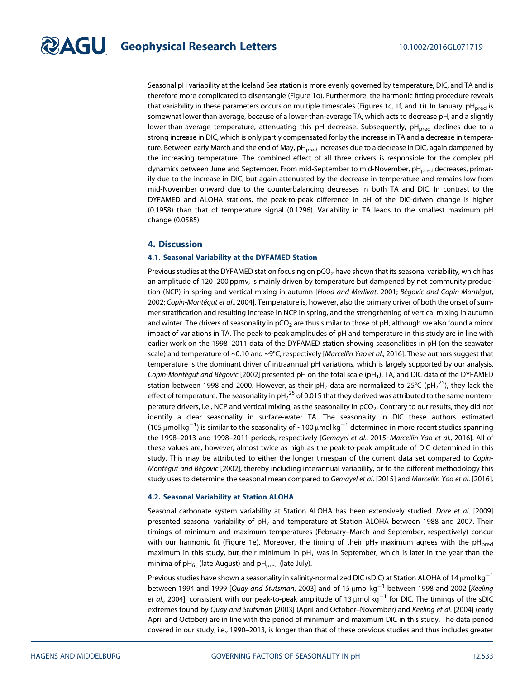Seasonal pH variability at the Iceland Sea station is more evenly governed by temperature, DIC, and TA and is therefore more complicated to disentangle (Figure 1o). Furthermore, the harmonic fitting procedure reveals that variability in these parameters occurs on multiple timescales (Figures 1c, 1f, and 1i). In January,  $pH<sub>pred</sub>$  is somewhat lower than average, because of a lower-than-average TA, which acts to decrease pH, and a slightly lower-than-average temperature, attenuating this pH decrease. Subsequently, pH<sub>pred</sub> declines due to a strong increase in DIC, which is only partly compensated for by the increase in TA and a decrease in temperature. Between early March and the end of May, pH<sub>pred</sub> increases due to a decrease in DIC, again dampened by the increasing temperature. The combined effect of all three drivers is responsible for the complex pH dynamics between June and September. From mid-September to mid-November, pH<sub>pred</sub> decreases, primarily due to the increase in DIC, but again attenuated by the decrease in temperature and remains low from mid-November onward due to the counterbalancing decreases in both TA and DIC. In contrast to the DYFAMED and ALOHA stations, the peak-to-peak difference in pH of the DIC-driven change is higher (0.1958) than that of temperature signal (0.1296). Variability in TA leads to the smallest maximum pH change (0.0585).

#### 4. Discussion

#### 4.1. Seasonal Variability at the DYFAMED Station

Previous studies at the DYFAMED station focusing on  $pCO<sub>2</sub>$  have shown that its seasonal variability, which has an amplitude of 120–200 ppmv, is mainly driven by temperature but dampened by net community production (NCP) in spring and vertical mixing in autumn [Hood and Merlivat, 2001; Bégovic and Copin-Montégut, 2002; Copin-Montégut et al., 2004]. Temperature is, however, also the primary driver of both the onset of summer stratification and resulting increase in NCP in spring, and the strengthening of vertical mixing in autumn and winter. The drivers of seasonality in  $pCO<sub>2</sub>$  are thus similar to those of pH, although we also found a minor impact of variations in TA. The peak-to-peak amplitudes of pH and temperature in this study are in line with earlier work on the 1998–2011 data of the DYFAMED station showing seasonalities in pH (on the seawater scale) and temperature of ~0.10 and ~9°C, respectively [Marcellin Yao et al., 2016]. These authors suggest that temperature is the dominant driver of intraannual pH variations, which is largely supported by our analysis. Copin-Montégut and Bégovic [2002] presented pH on the total scale (pH<sub>T</sub>), TA, and DIC data of the DYFAMED station between 1998 and 2000. However, as their pH $_{\it T}$  data are normalized to 25°C (pH $_{\it T}^{25}$ ), they lack the effect of temperature. The seasonality in pH $_{\rm 7}$ <sup>25</sup> of 0.015 that they derived was attributed to the same nontemperature drivers, i.e., NCP and vertical mixing, as the seasonality in pCO<sub>2</sub>. Contrary to our results, they did not identify a clear seasonality in surface-water TA. The seasonality in DIC these authors estimated (105 μmol kg $^{-1}$ ) is similar to the seasonality of ~100 μmol kg $^{-1}$  determined in more recent studies spanning the 1998-2013 and 1998-2011 periods, respectively [Gemayel et al., 2015; Marcellin Yao et al., 2016]. All of these values are, however, almost twice as high as the peak-to-peak amplitude of DIC determined in this study. This may be attributed to either the longer timespan of the current data set compared to Copin-Montégut and Bégovic [2002], thereby including interannual variability, or to the different methodology this study uses to determine the seasonal mean compared to Gemayel et al. [2015] and Marcellin Yao et al. [2016].

#### 4.2. Seasonal Variability at Station ALOHA

Seasonal carbonate system variability at Station ALOHA has been extensively studied. Dore et al. [2009] presented seasonal variability of  $pH<sub>T</sub>$  and temperature at Station ALOHA between 1988 and 2007. Their timings of minimum and maximum temperatures (February–March and September, respectively) concur with our harmonic fit (Figure 1e). Moreover, the timing of their  $pH<sub>T</sub>$  maximum agrees with the  $pH<sub>pred</sub>$ maximum in this study, but their minimum in  $pH<sub>T</sub>$  was in September, which is later in the year than the minima of  $pH_{\text{fit}}$  (late August) and  $pH_{\text{pred}}$  (late July).

Previous studies have shown a seasonality in salinity-normalized DIC (sDIC) at Station ALOHA of 14  $\mu$ mol kg<sup>-1</sup> between 1994 and 1999 [Quay and Stutsman, 2003] and of 15  $\mu$ mol kg<sup>-1</sup> between 1998 and 2002 [Keeling *et al.*, 2004], consistent with our peak-to-peak amplitude of 13  $\mu$ mol kg<sup>-1</sup> for DIC. The timings of the sDIC extremes found by Quay and Stutsman [2003] (April and October–November) and Keeling et al. [2004] (early April and October) are in line with the period of minimum and maximum DIC in this study. The data period covered in our study, i.e., 1990–2013, is longer than that of these previous studies and thus includes greater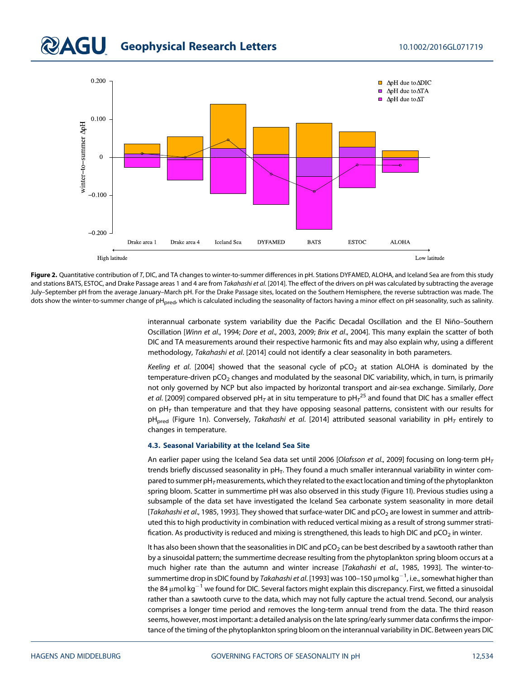### **QAGU** Geophysical Research Letters 10.1002/2016GL071719



Figure 2. Quantitative contribution of T, DIC, and TA changes to winter-to-summer differences in pH. Stations DYFAMED, ALOHA, and Iceland Sea are from this study and stations BATS, ESTOC, and Drake Passage areas 1 and 4 are from Takahashi et al. [2014]. The effect of the drivers on pH was calculated by subtracting the average July–September pH from the average January–March pH. For the Drake Passage sites, located on the Southern Hemisphere, the reverse subtraction was made. The dots show the winter-to-summer change of pH<sub>pred</sub>, which is calculated including the seasonality of factors having a minor effect on pH seasonality, such as salinity.

> interannual carbonate system variability due the Pacific Decadal Oscillation and the El Niño–Southern Oscillation [Winn et al., 1994; Dore et al., 2003, 2009; Brix et al., 2004]. This many explain the scatter of both DIC and TA measurements around their respective harmonic fits and may also explain why, using a different methodology, Takahashi et al. [2014] could not identify a clear seasonality in both parameters.

> Keeling et al. [2004] showed that the seasonal cycle of  $pCO<sub>2</sub>$  at station ALOHA is dominated by the temperature-driven pCO<sub>2</sub> changes and modulated by the seasonal DIC variability, which, in turn, is primarily not only governed by NCP but also impacted by horizontal transport and air-sea exchange. Similarly, Dore *et al*. [2009] compared observed pH<sub>7</sub> at in situ temperature to pH<sub>7</sub><sup>25</sup> and found that DIC has a smaller effect on  $pH<sub>T</sub>$  than temperature and that they have opposing seasonal patterns, consistent with our results for pH<sub>pred</sub> (Figure 1n). Conversely, Takahashi et al. [2014] attributed seasonal variability in pH<sub>T</sub> entirely to changes in temperature.

#### 4.3. Seasonal Variability at the Iceland Sea Site

An earlier paper using the Iceland Sea data set until 2006 [Olafsson et al., 2009] focusing on long-term  $\text{pH}_T$ trends briefly discussed seasonality in pH<sub>T</sub>. They found a much smaller interannual variability in winter compared to summer pH<sub>T</sub> measurements, which they related to the exact location and timing of the phytoplankton spring bloom. Scatter in summertime pH was also observed in this study (Figure 1l). Previous studies using a subsample of the data set have investigated the Iceland Sea carbonate system seasonality in more detail [Takahashi et al., 1985, 1993]. They showed that surface-water DIC and pCO<sub>2</sub> are lowest in summer and attributed this to high productivity in combination with reduced vertical mixing as a result of strong summer stratification. As productivity is reduced and mixing is strengthened, this leads to high DIC and  $pCO<sub>2</sub>$  in winter.

It has also been shown that the seasonalities in DIC and  $pCO<sub>2</sub>$  can be best described by a sawtooth rather than by a sinusoidal pattern; the summertime decrease resulting from the phytoplankton spring bloom occurs at a much higher rate than the autumn and winter increase [Takahashi et al., 1985, 1993]. The winter-tosummertime drop in sDIC found by *Takahashi et al*. [1993] was 100–150  $\mu$ mol kg $^{-1}$ , i.e., somewhat higher than the 84  $\mu$ mol kg<sup>-1</sup> we found for DIC. Several factors might explain this discrepancy. First, we fitted a sinusoidal rather than a sawtooth curve to the data, which may not fully capture the actual trend. Second, our analysis comprises a longer time period and removes the long-term annual trend from the data. The third reason seems, however, most important: a detailed analysis on the late spring/early summer data confirms the importance of the timing of the phytoplankton spring bloom on the interannual variability in DIC. Between years DIC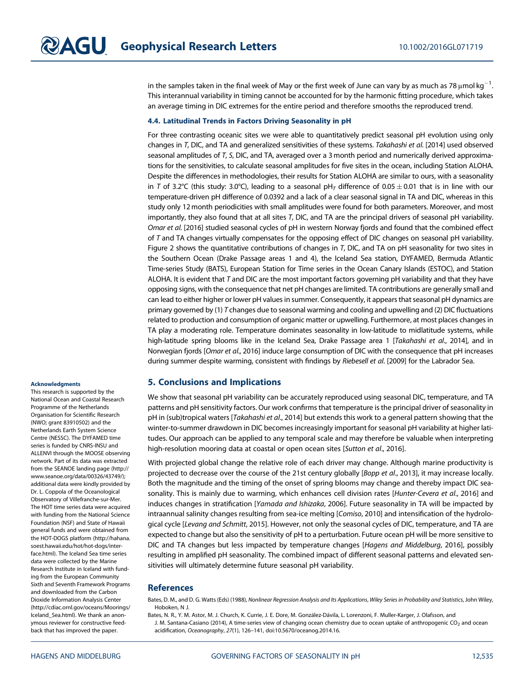in the samples taken in the final week of May or the first week of June can vary by as much as 78  $\mu$ mol kg<sup>-1</sup>. . This interannual variability in timing cannot be accounted for by the harmonic fitting procedure, which takes an average timing in DIC extremes for the entire period and therefore smooths the reproduced trend.

#### 4.4. Latitudinal Trends in Factors Driving Seasonality in pH

For three contrasting oceanic sites we were able to quantitatively predict seasonal pH evolution using only changes in T, DIC, and TA and generalized sensitivities of these systems. Takahashi et al. [2014] used observed seasonal amplitudes of T, S, DIC, and TA, averaged over a 3 month period and numerically derived approximations for the sensitivities, to calculate seasonal amplitudes for five sites in the ocean, including Station ALOHA. Despite the differences in methodologies, their results for Station ALOHA are similar to ours, with a seasonality in T of 3.2°C (this study: 3.0°C), leading to a seasonal pH<sub>T</sub> difference of 0.05  $\pm$  0.01 that is in line with our temperature-driven pH difference of 0.0392 and a lack of a clear seasonal signal in TA and DIC, whereas in this study only 12 month periodicities with small amplitudes were found for both parameters. Moreover, and most importantly, they also found that at all sites T, DIC, and TA are the principal drivers of seasonal pH variability. Omar et al. [2016] studied seasonal cycles of pH in western Norway fjords and found that the combined effect of  $T$  and TA changes virtually compensates for the opposing effect of DIC changes on seasonal pH variability. Figure 2 shows the quantitative contributions of changes in T, DIC, and TA on pH seasonality for two sites in the Southern Ocean (Drake Passage areas 1 and 4), the Iceland Sea station, DYFAMED, Bermuda Atlantic Time-series Study (BATS), European Station for Time series in the Ocean Canary Islands (ESTOC), and Station ALOHA. It is evident that  $T$  and DIC are the most important factors governing pH variability and that they have opposing signs, with the consequence that net pH changes are limited. TA contributions are generally small and can lead to either higher or lower pH values in summer. Consequently, it appears that seasonal pH dynamics are primary governed by (1) T changes due to seasonal warming and cooling and upwelling and (2) DIC fluctuations related to production and consumption of organic matter or upwelling. Furthermore, at most places changes in TA play a moderating role. Temperature dominates seasonality in low-latitude to midlatitude systems, while high-latitude spring blooms like in the Iceland Sea, Drake Passage area 1 [Takahashi et al., 2014], and in Norwegian fjords [Omar et al., 2016] induce large consumption of DIC with the consequence that pH increases during summer despite warming, consistent with findings by Riebesell et al. [2009] for the Labrador Sea.

#### 5. Conclusions and Implications

We show that seasonal pH variability can be accurately reproduced using seasonal DIC, temperature, and TA patterns and pH sensitivity factors. Our work confirms that temperature is the principal driver of seasonality in pH in (sub)tropical waters [Takahashi et al., 2014] but extends this work to a general pattern showing that the winter-to-summer drawdown in DIC becomes increasingly important for seasonal pH variability at higher latitudes. Our approach can be applied to any temporal scale and may therefore be valuable when interpreting high-resolution mooring data at coastal or open ocean sites [Sutton et al., 2016].

With projected global change the relative role of each driver may change. Although marine productivity is projected to decrease over the course of the 21st century globally [Bopp et al., 2013], it may increase locally. Both the magnitude and the timing of the onset of spring blooms may change and thereby impact DIC seasonality. This is mainly due to warming, which enhances cell division rates [Hunter-Cevera et al., 2016] and induces changes in stratification [Yamada and Ishizaka, 2006]. Future seasonality in TA will be impacted by intraannual salinity changes resulting from sea-ice melting [Comiso, 2010] and intensification of the hydrological cycle [Levang and Schmitt, 2015]. However, not only the seasonal cycles of DIC, temperature, and TA are expected to change but also the sensitivity of pH to a perturbation. Future ocean pH will be more sensitive to DIC and TA changes but less impacted by temperature changes [Hagens and Middelburg, 2016], possibly resulting in amplified pH seasonality. The combined impact of different seasonal patterns and elevated sensitivities will ultimately determine future seasonal pH variability.

#### **References**

Bates, D. M., and D. G. Watts (Eds) (1988), Nonlinear Regression Analysis and Its Applications, Wiley Series in Probability and Statistics, John Wiley, Hoboken, N J.

Bates, N. R., Y. M. Astor, M. J. Church, K. Currie, J. E. Dore, M. González-Dávila, L. Lorenzoni, F. Muller-Karger, J. Olafsson, and J. M. Santana-Casiano (2014), A time-series view of changing ocean chemistry due to ocean uptake of anthropogenic CO<sub>2</sub> and ocean acidification, Oceanography, 27(1), 126–141, doi:[10.5670/oceanog.2014.16.](http://doi.org/10.5670/oceanog.2014.16)

#### **Acknowledaments**

This research is supported by the National Ocean and Coastal Research Programme of the Netherlands Organisation for Scientific Research (NWO; grant 83910502) and the Netherlands Earth System Science Centre (NESSC). The DYFAMED time series is funded by CNRS-INSU and ALLENVI through the MOOSE observing network. Part of its data was extracted from the SEANOE landing page ([http://](http://www.seanoe.org/data/00326/43749/) [www.seanoe.org/data/00326/43749/\)](http://www.seanoe.org/data/00326/43749/); additional data were kindly provided by Dr. L. Coppola of the Oceanological Observatory of Villefranche-sur-Mer. The HOT time series data were acquired with funding from the National Science Foundation (NSF) and State of Hawaii general funds and were obtained from the HOT-DOGS platform [\(http://hahana.](http://hahana.soest.hawaii.edu/hot/hot-dogs/interface.html) [soest.hawaii.edu/hot/hot-dogs/inter](http://hahana.soest.hawaii.edu/hot/hot-dogs/interface.html)[face.html](http://hahana.soest.hawaii.edu/hot/hot-dogs/interface.html)). The Iceland Sea time series data were collected by the Marine Research Institute in Iceland with funding from the European Community Sixth and Seventh Framework Programs and downloaded from the Carbon Dioxide Information Analysis Center ([http://cdiac.ornl.gov/oceans/Moorings/](http://cdiac.ornl.gov/oceans/Moorings/Iceland_Sea.html) Iceland Sea.html). We thank an anonymous reviewer for constructive feedback that has improved the paper.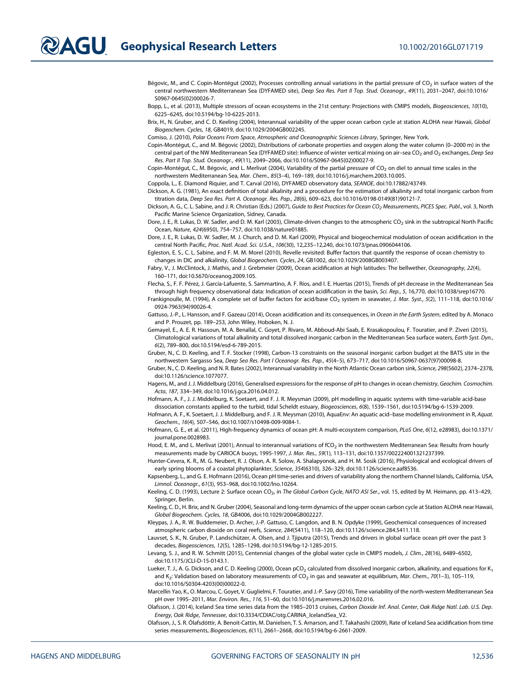Bégovic, M., and C. Copin-Montégut (2002), Processes controlling annual variations in the partial pressure of CO<sub>2</sub> in surface waters of the central northwestern Mediterranean Sea (DYFAMED site), Deep Sea Res. Part II Top. Stud. Oceanogr., 49(11), 2031–2047, doi[:10.1016/](http://doi.org/10.1016/S0967-0645(02)00026-7) [S0967-0645\(02\)00026-7](http://doi.org/10.1016/S0967-0645(02)00026-7).

Bopp, L., et al. (2013), Multiple stressors of ocean ecosystems in the 21st century: Projections with CMIP5 models, Biogeosciences, 10(10), 6225–6245, doi:[10.5194/bg-10-6225-2013.](http://doi.org/10.5194/bg-10-6225-2013)

Brix, H., N. Gruber, and C. D. Keeling (2004), Interannual variability of the upper ocean carbon cycle at station ALOHA near Hawaii, Global Biogeochem. Cycles, 18, GB4019, doi:[10.1029/2004GB002245.](http://doi.org/10.1029/2004GB002245)

Comiso, J. (2010), Polar Oceans From Space, Atmospheric and Oceanographic Sciences Library, Springer, New York.

Copin-Montégut, C., and M. Bégovic (2002), Distributions of carbonate properties and oxygen along the water column (0–2000 m) in the central part of the NW Mediterranean Sea (DYFAMED site): Influence of winter vertical mixing on air-sea CO<sub>2</sub> and O<sub>2</sub> exchanges, Deep Sea Res. Part II Top. Stud. Oceanogr., 49(11), 2049–2066, doi[:10.1016/S0967-0645\(02\)00027-9.](http://doi.org/10.1016/S0967-0645(02)00027-9)

Copin-Montégut, C., M. Bégovic, and L. Merlivat (2004), Variability of the partial pressure of CO<sub>2</sub> on diel to annual time scales in the northwestern Mediterranean Sea, Mar. Chem., 85(3–4), 169–189, doi:[10.1016/j.marchem.2003.10.005](http://doi.org/10.1016/j.marchem.2003.10.005).

Coppola, L., E. Diamond Riquier, and T. Carval (2016), DYFAMED observatory data, SEANOE, doi:[10.17882/43749](http://doi.org/10.17882/43749).

Dickson, A. G. (1981), An exact definition of total alkalinity and a procedure for the estimation of alkalinity and total inorganic carbon from titration data, Deep Sea Res. Part A. Oceanogr. Res. Pap., 28(6), 609–623, doi[:10.1016/0198-0149\(81\)90121-7](http://doi.org/10.1016/0198-0149(81)90121-7).

Dickson, A. G., C. L. Sabine, and J. R. Christian (Eds.) (2007), Guide to Best Practices for Ocean CO<sub>2</sub> Measurements, PICES Spec. Publ., vol. 3, North Pacific Marine Science Organization, Sidney, Canada.

Dore, J. E., R. Lukas, D. W. Sadler, and D. M. Karl (2003), Climate-driven changes to the atmospheric CO<sub>2</sub> sink in the subtropical North Pacific Ocean, Nature, 424(6950), 754–757, doi:[10.1038/nature01885.](http://doi.org/10.1038/nature01885)

Dore, J. E., R. Lukas, D. W. Sadler, M. J. Church, and D. M. Karl (2009), Physical and biogeochemical modulation of ocean acidification in the central North Pacific, Proc. Natl. Acad. Sci. U.S.A., 106(30), 12,235–12,240, doi[:10.1073/pnas.0906044106](http://doi.org/10.1073/pnas.0906044106).

Egleston, E. S., C. L. Sabine, and F. M. M. Morel (2010), Revelle revisited: Buffer factors that quantify the response of ocean chemistry to changes in DIC and alkalinity, Global Biogeochem. Cycles, 24, GB1002, doi:[10.1029/2008GB003407](http://doi.org/10.1029/2008GB003407).

Fabry, V., J. McClintock, J. Mathis, and J. Grebmeier (2009), Ocean acidification at high latitudes: The bellwether, Oceanography, 22(4), 160–171, doi:[10.5670/oceanog.2009.105.](http://doi.org/10.5670/oceanog.2009.105)

Flecha, S., F. F. Pérez, J. García-Lafuente, S. Sammartino, A. F. Ríos, and I. E. Huertas (2015), Trends of pH decrease in the Mediterranean Sea through high frequency observational data: Indication of ocean acidification in the basin, Sci. Rep., 5, 16,770, doi:[10.1038/srep16770](http://doi.org/10.1038/srep16770).

Frankignoulle, M. (1994), A complete set of buffer factors for acid/base CO<sub>2</sub> system in seawater, J. Mar. Syst., 5(2), 111-118, doi[:10.1016/](http://doi.org/10.1016/0924-7963(94)90026-4) [0924-7963\(94\)90026-4.](http://doi.org/10.1016/0924-7963(94)90026-4)

Gattuso, J.-P., L. Hansson, and F. Gazeau (2014), Ocean acidification and its consequences, in Ocean in the Earth System, edited by A. Monaco and P. Prouzet, pp. 189–253, John Wiley, Hoboken, N. J.

Gemayel, E., A. E. R. Hassoun, M. A. Benallal, C. Goyet, P. Rivaro, M. Abboud-Abi Saab, E. Krasakopoulou, F. Touratier, and P. Ziveri (2015), Climatological variations of total alkalinity and total dissolved inorganic carbon in the Mediterranean Sea surface waters, Earth Syst. Dyn., 6(2), 789–800, doi:[10.5194/esd-6-789-2015](http://doi.org/10.5194/esd-6-789-2015).

Gruber, N., C. D. Keeling, and T. F. Stocker (1998), Carbon-13 constraints on the seasonal inorganic carbon budget at the BATS site in the northwestern Sargasso Sea, Deep Sea Res. Part I Oceanogr. Res. Pap., 45(4–5), 673–717, doi:[10.1016/S0967-0637\(97\)00098-8.](http://doi.org/10.1016/S0967-0637(97)00098-8)

Gruber, N., C. D. Keeling, and N. R. Bates (2002), Interannual variability in the North Atlantic Ocean carbon sink, Science, 298(5602), 2374–2378, doi[:10.1126/science.1077077](http://doi.org/10.1126/science.1077077).

Hagens, M., and J. J. Middelburg (2016), Generalised expressions for the response of pH to changes in ocean chemistry, Geochim. Cosmochim. Acta, 187, 334–349, doi[:10.1016/j.gca.2016.04.012.](http://doi.org/10.1016/j.gca.2016.04.012)

Hofmann, A. F., J. J. Middelburg, K. Soetaert, and F. J. R. Meysman (2009), pH modelling in aquatic systems with time-variable acid-base dissociation constants applied to the turbid, tidal Scheldt estuary, Biogeosciences, 6(8), 1539–1561, doi:[10.5194/bg-6-1539-2009](http://doi.org/10.5194/bg-6-1539-2009).

Hofmann, A. F., K. Soetaert, J. J. Middelburg, and F. J. R. Meysman (2010), AquaEnv: An aquatic acid–base modelling environment in R, Aquat. Geochem., 16(4), 507–546, doi[:10.1007/s10498-009-9084-1](http://doi.org/10.1007/s10498-009-9084-1).

Hofmann, G. E., et al. (2011), High-frequency dynamics of ocean pH: A multi-ecosystem comparison, PLoS One, 6(12, e28983), doi:[10.1371/](http://doi.org/10.1371/journal.pone.0028983) [journal.pone.0028983.](http://doi.org/10.1371/journal.pone.0028983)

Hood, E. M., and L. Merlivat (2001), Annual to interannual variations of fCO<sub>2</sub> in the northwestern Mediterranean Sea: Results from hourly measurements made by CARIOCA buoys, 1995-1997, J. Mar. Res., 59(1), 113–131, doi:[10.1357/002224001321237399.](http://doi.org/10.1357/002224001321237399)

Hunter-Cevera, K. R., M. G. Neubert, R. J. Olson, A. R. Solow, A. Shalapyonok, and H. M. Sosik (2016), Physiological and ecological drivers of early spring blooms of a coastal phytoplankter, Science, 354(6310), 326–329, doi:[10.1126/science.aaf8536.](http://doi.org/10.1126/science.aaf8536)

Kapsenberg, L., and G. E. Hofmann (2016), Ocean pH time-series and drivers of variability along the northern Channel Islands, California, USA, Limnol. Oceanogr., 61(3), 953–968, doi:[10.1002/lno.10264.](http://doi.org/10.1002/lno.10264)

Keeling, C. D. (1993), Lecture 2: Surface ocean CO<sub>2</sub>, in The Global Carbon Cycle, NATO ASI Ser., vol. 15, edited by M. Heimann, pp. 413-429, Springer, Berlin.

Keeling, C. D., H. Brix, and N. Gruber (2004), Seasonal and long-term dynamics of the upper ocean carbon cycle at Station ALOHA near Hawaii, Global Biogeochem. Cycles, 18, GB4006, doi:[10.1029/2004GB002227](http://doi.org/10.1029/2004GB002227).

Kleypas, J. A., R. W. Buddemeier, D. Archer, J.-P. Gattuso, C. Langdon, and B. N. Opdyke (1999), Geochemical consequences of increased atmospheric carbon dioxide on coral reefs, Science, 284(5411), 118–120, doi[:10.1126/science.284.5411.118.](http://doi.org/10.1126/science.284.5411.118)

Lauvset, S. K., N. Gruber, P. Landschützer, A. Olsen, and J. Tjiputra (2015), Trends and drivers in global surface ocean pH over the past 3 decades, Biogeosciences, 12(5), 1285–1298, doi:[10.5194/bg-12-1285-2015.](http://doi.org/10.5194/bg-12-1285-2015)

Levang, S. J., and R. W. Schmitt (2015), Centennial changes of the global water cycle in CMIP5 models, J. Clim., 28(16), 6489–6502, doi[:10.1175/JCLI-D-15-0143.1](http://doi.org/10.1175/JCLI-D-15-0143.1).

Lueker, T. J., A. G. Dickson, and C. D. Keeling (2000), Ocean pCO<sub>2</sub> calculated from dissolved inorganic carbon, alkalinity, and equations for K<sub>1</sub> and K<sub>2</sub>: Validation based on laboratory measurements of CO<sub>2</sub> in gas and seawater at equilibrium, Mar. Chem., 70(1-3), 105-119, doi[:10.1016/S0304-4203\(00\)00022-0](http://doi.org/10.1016/S0304-4203(00)00022-0).

Marcellin Yao, K., O. Marcou, C. Goyet, V. Guglielmi, F. Touratier, and J.-P. Savy (2016), Time variability of the north-western Mediterranean Sea pH over 1995–2011, Mar. Environ. Res., 116, 51–60, doi:[10.1016/j.marenvres.2016.02.016](http://doi.org/10.1016/j.marenvres.2016.02.016).

Olafsson, J. (2014), Iceland Sea time series data from the 1985–2013 cruises, Carbon Dioxide Inf. Anal. Center, Oak Ridge Natl. Lab. U.S. Dep. Energy, Oak Ridge, Tennessee, doi:[10.3334/CDIAC/otg.CARINA\\_IcelandSea\\_V2](http://doi.org/10.3334/CDIAC/otg.CARINA_IcelandSea_V2).

Olafsson, J., S. R. Ólafsdóttir, A. Benoit-Cattin, M. Danielsen, T. S. Arnarson, and T. Takahashi (2009), Rate of Iceland Sea acidification from time series measurements, Biogeosciences, 6(11), 2661–2668, doi[:10.5194/bg-6-2661-2009.](http://doi.org/10.5194/bg-6-2661-2009)